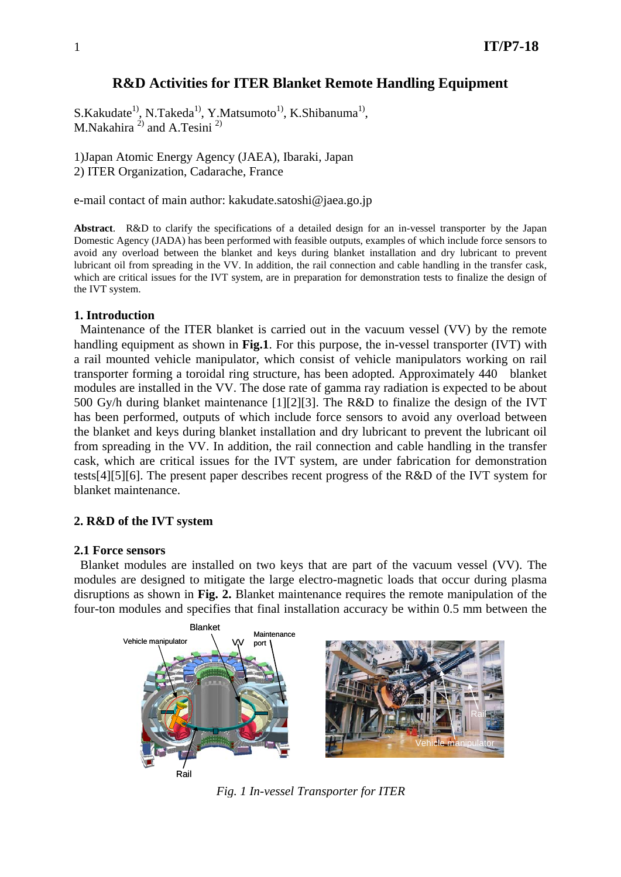# **R&D Activities for ITER Blanket Remote Handling Equipment**

 $S.Kakudate<sup>1</sup>$ , N.Takeda<sup>1</sup>, Y.Matsumoto<sup>1</sup>, K.Shibanuma<sup>1</sup>, M. Nakahira  $^{2)}$  and A. Tesini<sup>2)</sup>

1)Japan Atomic Energy Agency (JAEA), Ibaraki, Japan 2) ITER Organization, Cadarache, France

e-mail contact of main author: kakudate.satoshi@jaea.go.jp

**Abstract**. R&D to clarify the specifications of a detailed design for an in-vessel transporter by the Japan Domestic Agency (JADA) has been performed with feasible outputs, examples of which include force sensors to avoid any overload between the blanket and keys during blanket installation and dry lubricant to prevent lubricant oil from spreading in the VV. In addition, the rail connection and cable handling in the transfer cask, which are critical issues for the IVT system, are in preparation for demonstration tests to finalize the design of the IVT system.

# **1. Introduction**

Maintenance of the ITER blanket is carried out in the vacuum vessel (VV) by the remote handling equipment as shown in **Fig.1**. For this purpose, the in-vessel transporter (IVT) with a rail mounted vehicle manipulator, which consist of vehicle manipulators working on rail transporter forming a toroidal ring structure, has been adopted. Approximately 440 blanket modules are installed in the VV. The dose rate of gamma ray radiation is expected to be about 500 Gy/h during blanket maintenance [1][2][3]. The R&D to finalize the design of the IVT has been performed, outputs of which include force sensors to avoid any overload between the blanket and keys during blanket installation and dry lubricant to prevent the lubricant oil from spreading in the VV. In addition, the rail connection and cable handling in the transfer cask, which are critical issues for the IVT system, are under fabrication for demonstration tests[4][5][6]. The present paper describes recent progress of the R&D of the IVT system for blanket maintenance.

# **2. R&D of the IVT system**

#### **2.1 Force sensors**

Blanket modules are installed on two keys that are part of the vacuum vessel (VV). The modules are designed to mitigate the large electro-magnetic loads that occur during plasma disruptions as shown in **Fig. 2.** Blanket maintenance requires the remote manipulation of the four-ton modules and specifies that final installation accuracy be within 0.5 mm between the



*Fig. 1 In-vessel Transporter for ITER*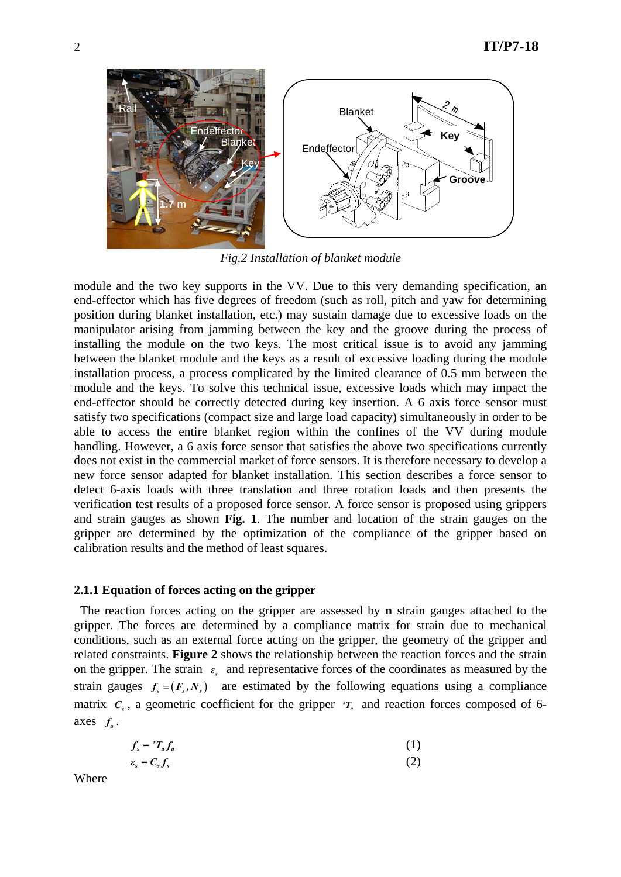

*Fig.2 Installation of blanket module* 

module and the two key supports in the VV. Due to this very demanding specification, an end-effector which has five degrees of freedom (such as roll, pitch and yaw for determining position during blanket installation, etc.) may sustain damage due to excessive loads on the manipulator arising from jamming between the key and the groove during the process of installing the module on the two keys. The most critical issue is to avoid any jamming between the blanket module and the keys as a result of excessive loading during the module installation process, a process complicated by the limited clearance of 0.5 mm between the module and the keys. To solve this technical issue, excessive loads which may impact the end-effector should be correctly detected during key insertion. A 6 axis force sensor must satisfy two specifications (compact size and large load capacity) simultaneously in order to be able to access the entire blanket region within the confines of the VV during module handling. However, a 6 axis force sensor that satisfies the above two specifications currently does not exist in the commercial market of force sensors. It is therefore necessary to develop a new force sensor adapted for blanket installation. This section describes a force sensor to detect 6-axis loads with three translation and three rotation loads and then presents the verification test results of a proposed force sensor. A force sensor is proposed using grippers and strain gauges as shown **Fig. 1**. The number and location of the strain gauges on the gripper are determined by the optimization of the compliance of the gripper based on calibration results and the method of least squares.

# **2.1.1 Equation of forces acting on the gripper**

The reaction forces acting on the gripper are assessed by **n** strain gauges attached to the gripper. The forces are determined by a compliance matrix for strain due to mechanical conditions, such as an external force acting on the gripper, the geometry of the gripper and related constraints. **Figure 2** shows the relationship between the reaction forces and the strain on the gripper. The strain  $\varepsilon$  and representative forces of the coordinates as measured by the strain gauges  $f_s = (F_s, N_s)$  are estimated by the following equations using a compliance matrix  $C_s$ , a geometric coefficient for the gripper  ${}^{s}T_a$  and reaction forces composed of 6axes  $f_a$ .

$$
f_s = {}^s T_a f_a \tag{1}
$$

$$
\varepsilon_s = C_s f_s \tag{2}
$$

Where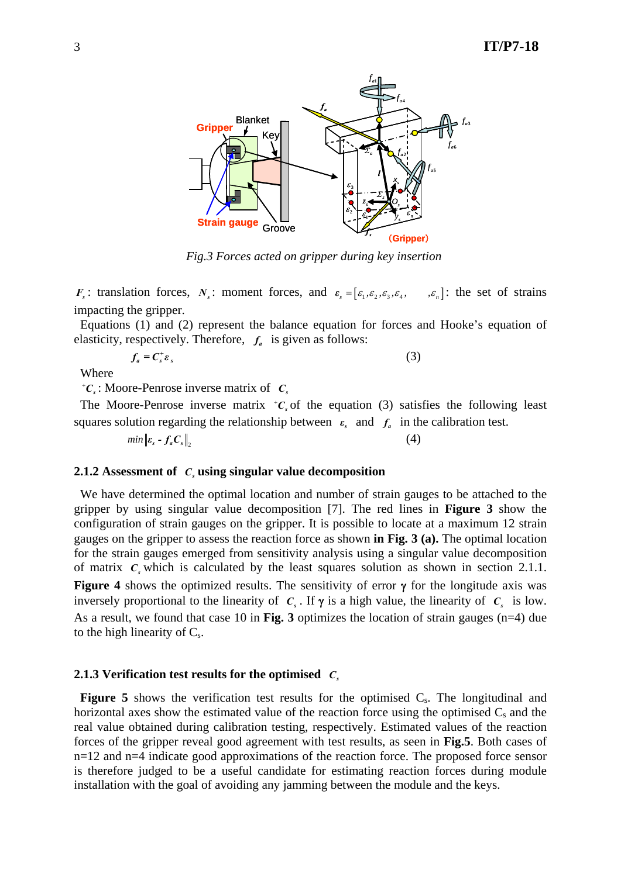

*Fig.3 Forces acted on gripper during key insertion* 

*F<sub>s</sub>*: translation forces, *N<sub>s</sub>*: moment forces, and  $\varepsilon_s = [\varepsilon_1, \varepsilon_2, \varepsilon_3, \varepsilon_4, \dots, \varepsilon_n]$ : the set of strains impacting the gripper.

Equations (1) and (2) represent the balance equation for forces and Hooke's equation of elasticity, respectively. Therefore,  $f_a$  is given as follows:

$$
f_a = C_s^+ \varepsilon_s \tag{3}
$$

Where

+ $\mathcal{C}_s$ : Moore-Penrose inverse matrix of  $\mathcal{C}_s$ 

The Moore-Penrose inverse matrix  ${}^{\dagger}C_s$  of the equation (3) satisfies the following least squares solution regarding the relationship between  $\varepsilon$  and  $f_a$  in the calibration test.

 $min \left\| \varepsilon_s - f_s C_s \right\|$  (4)

# **2.1.2 Assessment of**  $C_s$  **using singular value decomposition**

We have determined the optimal location and number of strain gauges to be attached to the gripper by using singular value decomposition [7]. The red lines in **Figure 3** show the configuration of strain gauges on the gripper. It is possible to locate at a maximum 12 strain gauges on the gripper to assess the reaction force as shown **in Fig. 3 (a).** The optimal location for the strain gauges emerged from sensitivity analysis using a singular value decomposition of matrix  $c<sub>s</sub>$  which is calculated by the least squares solution as shown in section 2.1.1. **Figure 4** shows the optimized results. The sensitivity of error γ for the longitude axis was inversely proportional to the linearity of  $C_s$ . If  $\gamma$  is a high value, the linearity of  $C_s$  is low. As a result, we found that case 10 in **Fig. 3** optimizes the location of strain gauges (n=4) due to the high linearity of  $C_s$ .

# **2.1.3 Verification test results for the optimised** *Cs*

**Figure 5** shows the verification test results for the optimised  $C_s$ . The longitudinal and horizontal axes show the estimated value of the reaction force using the optimised  $C_s$  and the real value obtained during calibration testing, respectively. Estimated values of the reaction forces of the gripper reveal good agreement with test results, as seen in **Fig.5**. Both cases of n=12 and n=4 indicate good approximations of the reaction force. The proposed force sensor is therefore judged to be a useful candidate for estimating reaction forces during module installation with the goal of avoiding any jamming between the module and the keys.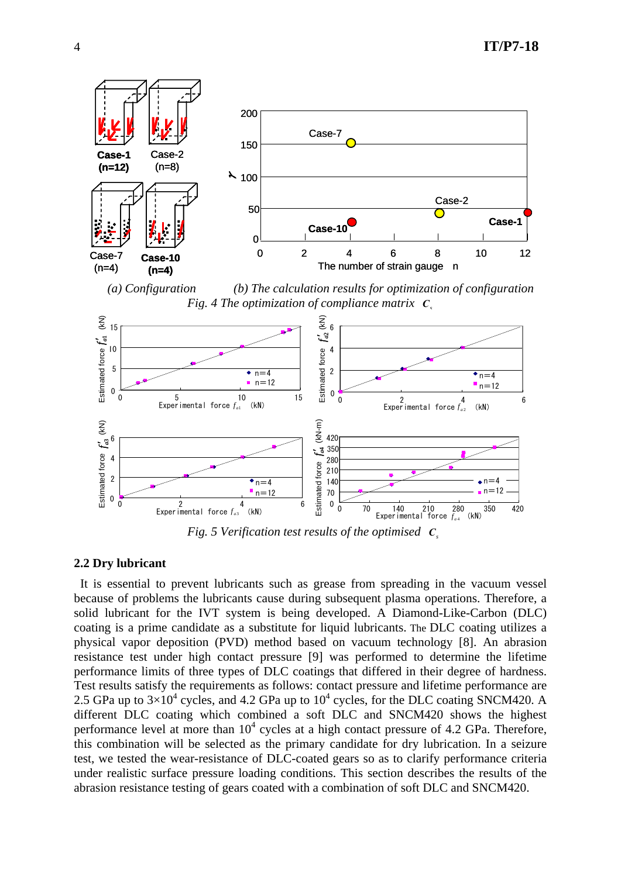4 **IT/P7-18** 



*(a) Configuration (b) The calculation results for optimization of configuration Fig. 4 The optimization of compliance matrix*  $\mathbf{C}$ 



*Fig. 5 Verification test results of the optimised C<sup>s</sup>*

# **2.2 Dry lubricant**

It is essential to prevent lubricants such as grease from spreading in the vacuum vessel because of problems the lubricants cause during subsequent plasma operations. Therefore, a solid lubricant for the IVT system is being developed. A Diamond-Like-Carbon (DLC) coating is a prime candidate as a substitute for liquid lubricants. The DLC coating utilizes a physical vapor deposition (PVD) method based on vacuum technology [8]. An abrasion resistance test under high contact pressure [9] was performed to determine the lifetime performance limits of three types of DLC coatings that differed in their degree of hardness. Test results satisfy the requirements as follows: contact pressure and lifetime performance are 2.5 GPa up to  $3\times10^4$  cycles, and 4.2 GPa up to  $10^4$  cycles, for the DLC coating SNCM420. A different DLC coating which combined a soft DLC and SNCM420 shows the highest performance level at more than  $10^4$  cycles at a high contact pressure of 4.2 GPa. Therefore, this combination will be selected as the primary candidate for dry lubrication. In a seizure test, we tested the wear-resistance of DLC-coated gears so as to clarify performance criteria under realistic surface pressure loading conditions. This section describes the results of the abrasion resistance testing of gears coated with a combination of soft DLC and SNCM420.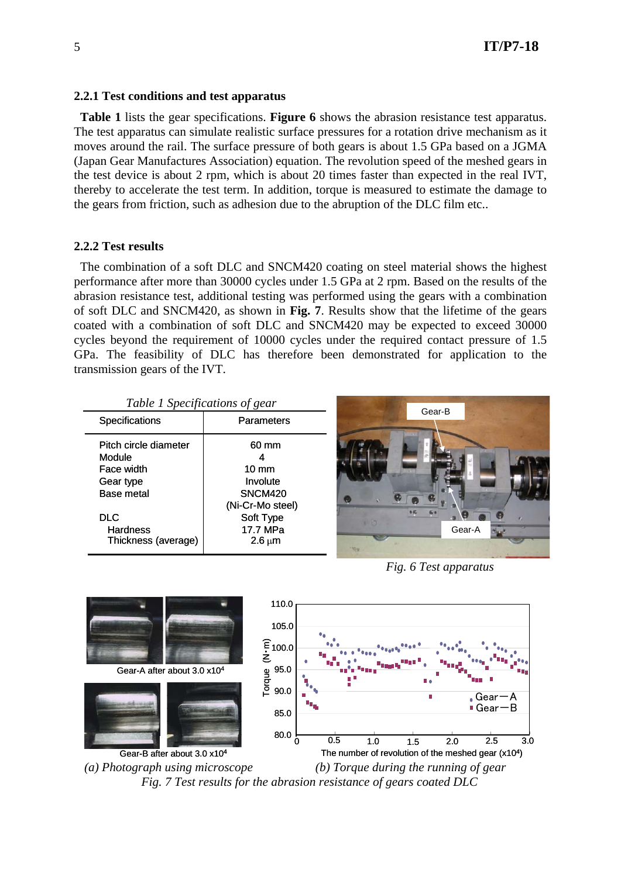# **2.2.1 Test conditions and test apparatus**

**Table 1** lists the gear specifications. **Figure 6** shows the abrasion resistance test apparatus. The test apparatus can simulate realistic surface pressures for a rotation drive mechanism as it moves around the rail. The surface pressure of both gears is about 1.5 GPa based on a JGMA (Japan Gear Manufactures Association) equation. The revolution speed of the meshed gears in the test device is about 2 rpm, which is about 20 times faster than expected in the real IVT, thereby to accelerate the test term. In addition, torque is measured to estimate the damage to the gears from friction, such as adhesion due to the abruption of the DLC film etc..

# **2.2.2 Test results**

The combination of a soft DLC and SNCM420 coating on steel material shows the highest performance after more than 30000 cycles under 1.5 GPa at 2 rpm. Based on the results of the abrasion resistance test, additional testing was performed using the gears with a combination of soft DLC and SNCM420, as shown in **Fig. 7**. Results show that the lifetime of the gears coated with a combination of soft DLC and SNCM420 may be expected to exceed 30000 cycles beyond the requirement of 10000 cycles under the required contact pressure of 1.5 GPa. The feasibility of DLC has therefore been demonstrated for application to the transmission gears of the IVT.

|  |  | Table 1 Specifications of gear |  |
|--|--|--------------------------------|--|
|--|--|--------------------------------|--|

| Parameters               |  |
|--------------------------|--|
| 60 mm                    |  |
|                          |  |
| $10 \text{ mm}$          |  |
| Involute                 |  |
| <b>SNCM420</b>           |  |
| (Ni-Cr-Mo steel)         |  |
| Soft Type                |  |
| 17.7 MPa                 |  |
| $2.6 \,\mathrm{\upmu m}$ |  |
|                          |  |



*Fig. 6 Test apparatus* 



*Fig. 7 Test results for the abrasion resistance of gears coated DLC*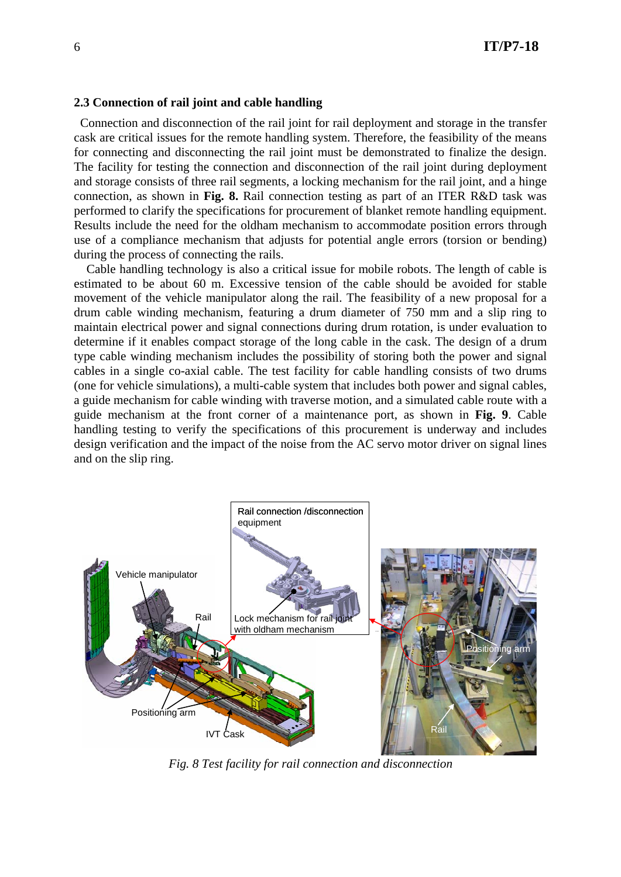# **2.3 Connection of rail joint and cable handling**

Connection and disconnection of the rail joint for rail deployment and storage in the transfer cask are critical issues for the remote handling system. Therefore, the feasibility of the means for connecting and disconnecting the rail joint must be demonstrated to finalize the design. The facility for testing the connection and disconnection of the rail joint during deployment and storage consists of three rail segments, a locking mechanism for the rail joint, and a hinge connection, as shown in **Fig. 8.** Rail connection testing as part of an ITER R&D task was performed to clarify the specifications for procurement of blanket remote handling equipment. Results include the need for the oldham mechanism to accommodate position errors through use of a compliance mechanism that adjusts for potential angle errors (torsion or bending) during the process of connecting the rails.

Cable handling technology is also a critical issue for mobile robots. The length of cable is estimated to be about 60 m. Excessive tension of the cable should be avoided for stable movement of the vehicle manipulator along the rail. The feasibility of a new proposal for a drum cable winding mechanism, featuring a drum diameter of 750 mm and a slip ring to maintain electrical power and signal connections during drum rotation, is under evaluation to determine if it enables compact storage of the long cable in the cask. The design of a drum type cable winding mechanism includes the possibility of storing both the power and signal cables in a single co-axial cable. The test facility for cable handling consists of two drums (one for vehicle simulations), a multi-cable system that includes both power and signal cables, a guide mechanism for cable winding with traverse motion, and a simulated cable route with a guide mechanism at the front corner of a maintenance port, as shown in **Fig. 9**. Cable handling testing to verify the specifications of this procurement is underway and includes design verification and the impact of the noise from the AC servo motor driver on signal lines and on the slip ring.



*Fig. 8 Test facility for rail connection and disconnection*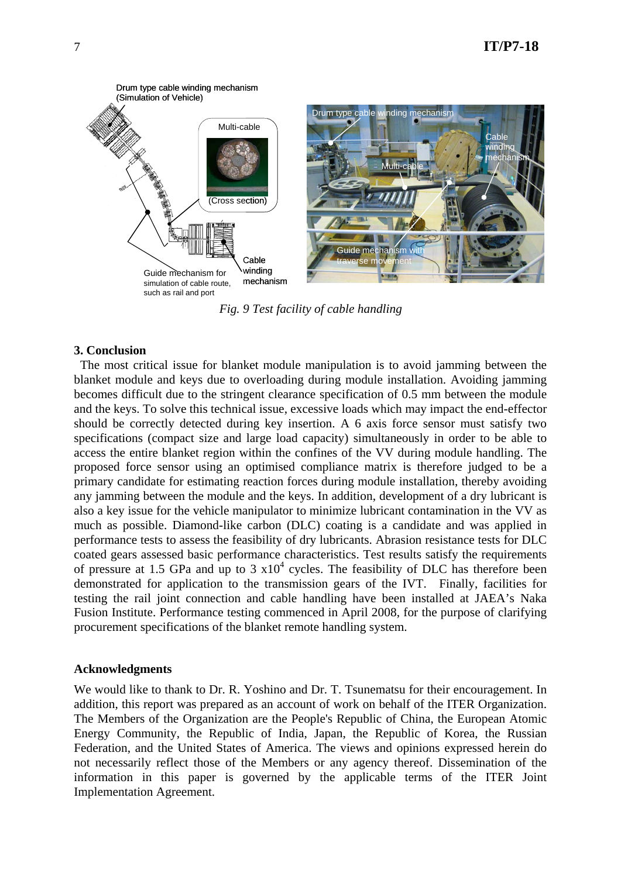

*Fig. 9 Test facility of cable handling* 

# **3. Conclusion**

The most critical issue for blanket module manipulation is to avoid jamming between the blanket module and keys due to overloading during module installation. Avoiding jamming becomes difficult due to the stringent clearance specification of 0.5 mm between the module and the keys. To solve this technical issue, excessive loads which may impact the end-effector should be correctly detected during key insertion. A 6 axis force sensor must satisfy two specifications (compact size and large load capacity) simultaneously in order to be able to access the entire blanket region within the confines of the VV during module handling. The proposed force sensor using an optimised compliance matrix is therefore judged to be a primary candidate for estimating reaction forces during module installation, thereby avoiding any jamming between the module and the keys. In addition, development of a dry lubricant is also a key issue for the vehicle manipulator to minimize lubricant contamination in the VV as much as possible. Diamond-like carbon (DLC) coating is a candidate and was applied in performance tests to assess the feasibility of dry lubricants. Abrasion resistance tests for DLC coated gears assessed basic performance characteristics. Test results satisfy the requirements of pressure at 1.5 GPa and up to 3  $x10<sup>4</sup>$  cycles. The feasibility of DLC has therefore been demonstrated for application to the transmission gears of the IVT. Finally, facilities for testing the rail joint connection and cable handling have been installed at JAEA's Naka Fusion Institute. Performance testing commenced in April 2008, for the purpose of clarifying procurement specifications of the blanket remote handling system.

# **Acknowledgments**

We would like to thank to Dr. R. Yoshino and Dr. T. Tsunematsu for their encouragement. In addition, this report was prepared as an account of work on behalf of the ITER Organization. The Members of the Organization are the People's Republic of China, the European Atomic Energy Community, the Republic of India, Japan, the Republic of Korea, the Russian Federation, and the United States of America. The views and opinions expressed herein do not necessarily reflect those of the Members or any agency thereof. Dissemination of the information in this paper is governed by the applicable terms of the ITER Joint Implementation Agreement.